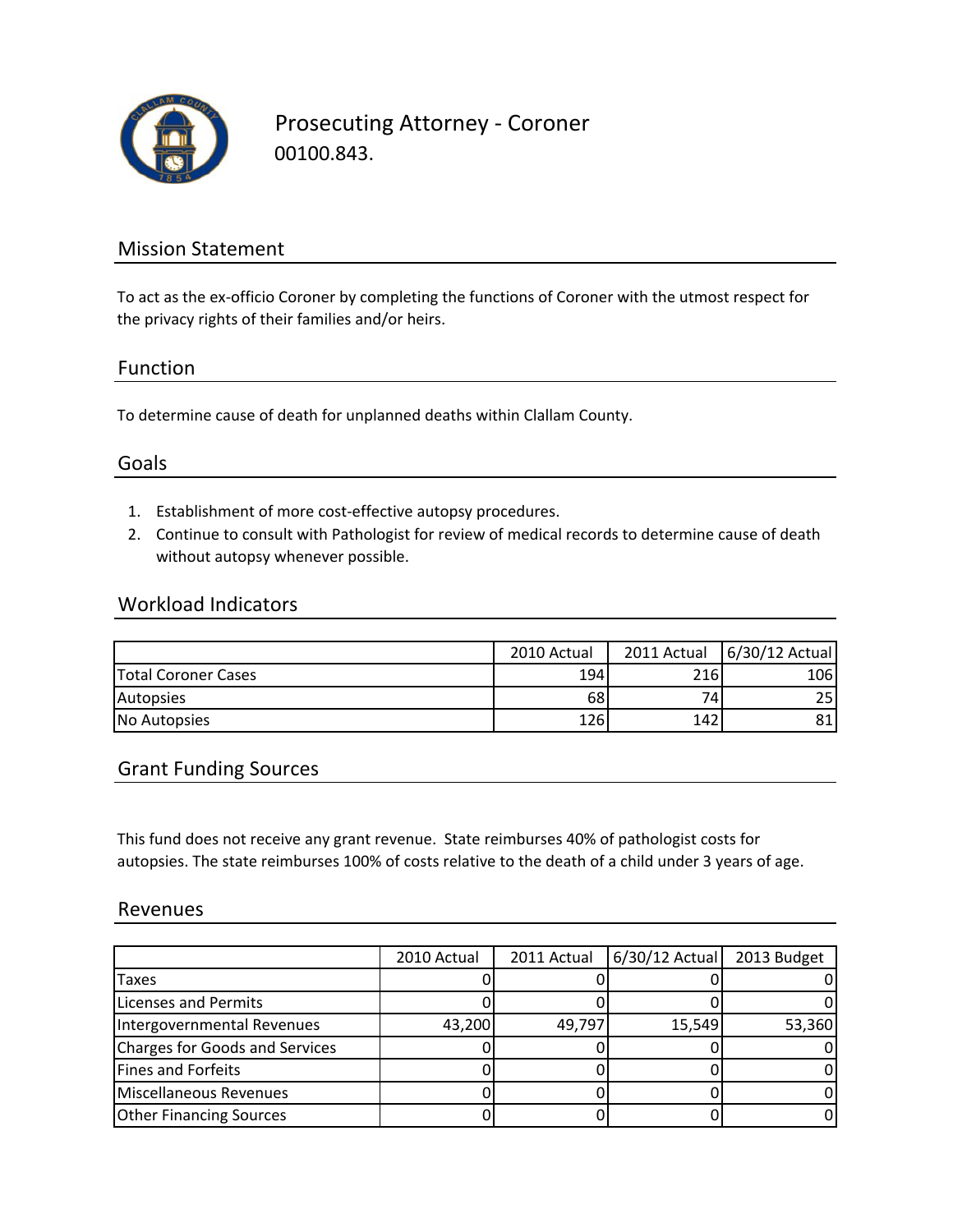

Prosecuting Attorney ‐ Coroner 00100.843.

## Mission Statement

To act as the ex-officio Coroner by completing the functions of Coroner with the utmost respect for the privacy rights of their families and/or heirs.

### Function

To determine cause of death for unplanned deaths within Clallam County.

## Goals

- 1. Establishment of more cost‐effective autopsy procedures.
- 2. Continue to consult with Pathologist for review of medical records to determine cause of death without autopsy whenever possible.

### Workload Indicators

|                            | 2010 Actual | 2011 Actual | 6/30/12 Actual |
|----------------------------|-------------|-------------|----------------|
| <b>Total Coroner Cases</b> | 194         | 216         | 106            |
| Autopsies                  | 68          | 74.         | 25             |
| No Autopsies               | 126         | 142         | 81             |

## Grant Funding Sources

This fund does not receive any grant revenue. State reimburses 40% of pathologist costs for autopsies. The state reimburses 100% of costs relative to the death of a child under 3 years of age.

#### Revenues

|                                | 2010 Actual | 2011 Actual | $6/30/12$ Actual | 2013 Budget |
|--------------------------------|-------------|-------------|------------------|-------------|
| <b>Taxes</b>                   |             |             |                  |             |
| Licenses and Permits           |             |             |                  |             |
| Intergovernmental Revenues     | 43,200      | 49,797      | 15,549           | 53,360      |
| Charges for Goods and Services |             |             |                  |             |
| Fines and Forfeits             |             |             |                  |             |
| Miscellaneous Revenues         |             |             |                  |             |
| <b>Other Financing Sources</b> |             |             |                  |             |